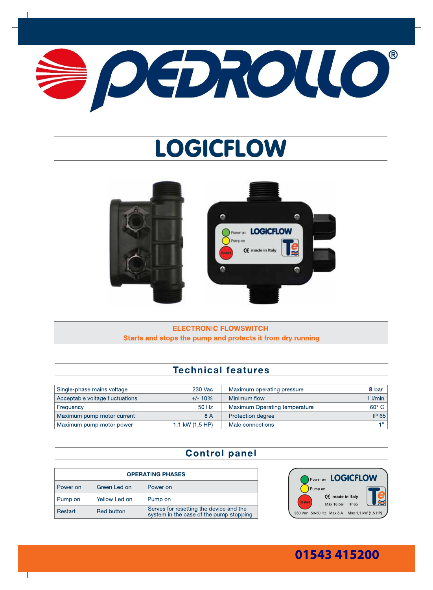

# **LOGICFLOW**





### **ELECTRONIC FLOWSWITCH** Starts and stops the pump and protects it from dry running

## **Technical features**

| Single-phase mains voltage      | 230 Vac         | Maximum operating pressure    | 8 bar            |
|---------------------------------|-----------------|-------------------------------|------------------|
| Acceptable voltage fluctuations | $+/- 10\%$      | Minimum flow                  | $1$ <i>l/min</i> |
| Frequency                       | 50 Hz           | Maximum Operating temperature | $60^\circ$ C     |
| Maximum pump motor current      | 8 A             | Protection degree             | <b>IP 65</b>     |
| Maximum pump motor power        | 1,1 kW (1,5 HP) | Male connections              | -4.99            |

## **Control panel**

| <b>OPERATING PHASES</b> |                   |                                                                                    |  |
|-------------------------|-------------------|------------------------------------------------------------------------------------|--|
| Power on                | Green Led on      | Power on                                                                           |  |
| Pump on                 | Yellow Led on     | Pump on                                                                            |  |
| Restart                 | <b>Red button</b> | Serves for resetting the device and the<br>system in the case of the pump stopping |  |



# 01543 415200